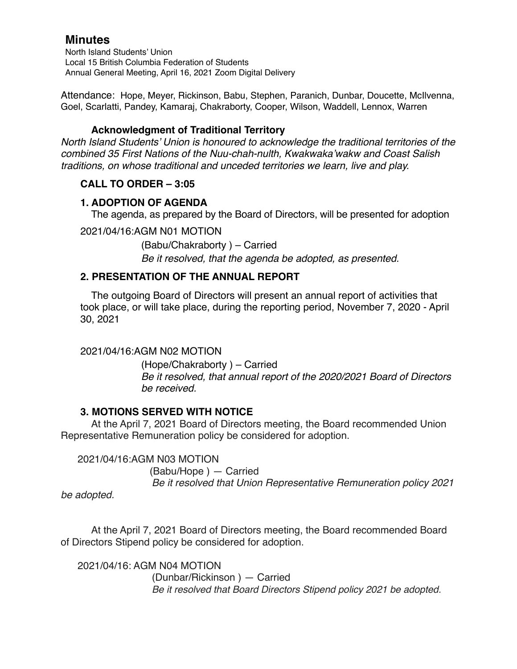# **Minutes**

North Island Students' Union Local 15 British Columbia Federation of Students Annual General Meeting, April 16, 2021 Zoom Digital Delivery

Attendance: Hope, Meyer, Rickinson, Babu, Stephen, Paranich, Dunbar, Doucette, McIlvenna, Goel, Scarlatti, Pandey, Kamaraj, Chakraborty, Cooper, Wilson, Waddell, Lennox, Warren

### **Acknowledgment of Traditional Territory**

*North Island Students' Union is honoured to acknowledge the traditional territories of the combined 35 First Nations of the Nuu-chah-nulth, Kwakwaka'wakw and Coast Salish traditions, on whose traditional and unceded territories we learn, live and play.* 

### **CALL TO ORDER – 3:05**

### **1. ADOPTION OF AGENDA**

The agenda, as prepared by the Board of Directors, will be presented for adoption

2021/04/16:AGM N01 MOTION

(Babu/Chakraborty ) – Carried *Be it resolved, that the agenda be adopted, as presented.* 

### **2. PRESENTATION OF THE ANNUAL REPORT**

The outgoing Board of Directors will present an annual report of activities that took place, or will take place, during the reporting period, November 7, 2020 - April 30, 2021

#### 2021/04/16:AGM N02 MOTION

(Hope/Chakraborty ) – Carried *Be it resolved, that annual report of the 2020/2021 Board of Directors be received.*

## **3. MOTIONS SERVED WITH NOTICE**

At the April 7, 2021 Board of Directors meeting, the Board recommended Union Representative Remuneration policy be considered for adoption.

2021/04/16:AGM N03 MOTION

 (Babu/Hope ) — Carried *Be it resolved that Union Representative Remuneration policy 2021* 

*be adopted.*

At the April 7, 2021 Board of Directors meeting, the Board recommended Board of Directors Stipend policy be considered for adoption.

 2021/04/16: AGM N04 MOTION (Dunbar/Rickinson ) — Carried *Be it resolved that Board Directors Stipend policy 2021 be adopted.*